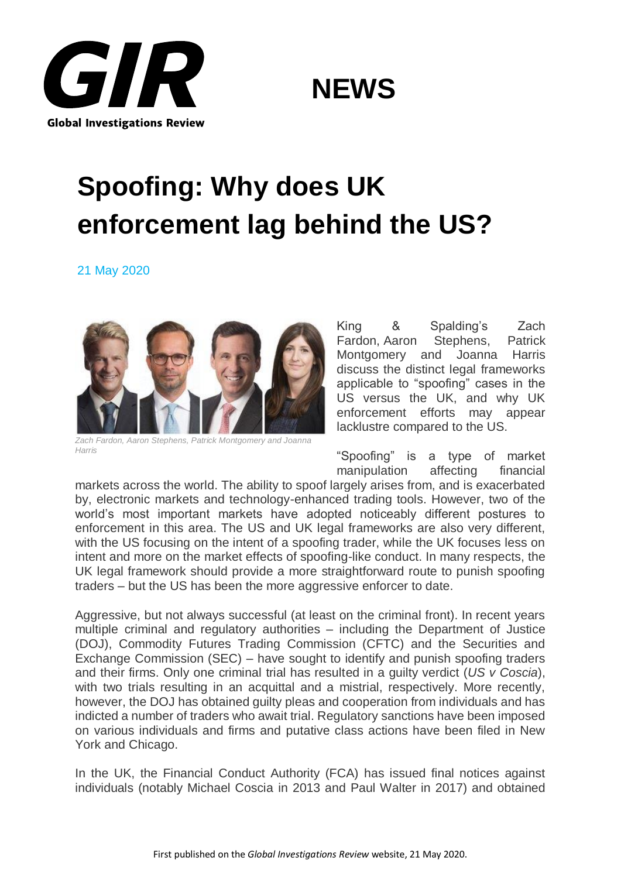



## **Spoofing: Why does UK enforcement lag behind the US?**

21 May 2020



*Zach Fardon, Aaron Stephens, Patrick Montgomery and Joanna Harris*

King & Spalding's Zach Fardon, Aaron Stephens, Patrick Montgomery and Joanna Harris discuss the distinct legal frameworks applicable to "spoofing" cases in the US versus the UK, and why UK enforcement efforts may appear lacklustre compared to the US.

"Spoofing" is a type of market manipulation affecting financial

markets across the world. The ability to spoof largely arises from, and is exacerbated by, electronic markets and technology-enhanced trading tools. However, two of the world's most important markets have adopted noticeably different postures to enforcement in this area. The US and UK legal frameworks are also very different, with the US focusing on the intent of a spoofing trader, while the UK focuses less on intent and more on the market effects of spoofing-like conduct. In many respects, the UK legal framework should provide a more straightforward route to punish spoofing traders – but the US has been the more aggressive enforcer to date.

Aggressive, but not always successful (at least on the criminal front). In recent years multiple criminal and regulatory authorities – including the Department of Justice (DOJ), Commodity Futures Trading Commission (CFTC) and the Securities and Exchange Commission (SEC) – have sought to identify and punish spoofing traders and their firms. Only one criminal trial has resulted in a guilty verdict (*US v Coscia*), with two trials resulting in an acquittal and a mistrial, respectively. More recently, however, the DOJ has obtained guilty pleas and cooperation from individuals and has indicted a number of traders who await trial. Regulatory sanctions have been imposed on various individuals and firms and putative class actions have been filed in New York and Chicago.

In the UK, the Financial Conduct Authority (FCA) has issued final notices against individuals (notably Michael Coscia in 2013 and Paul Walter in 2017) and obtained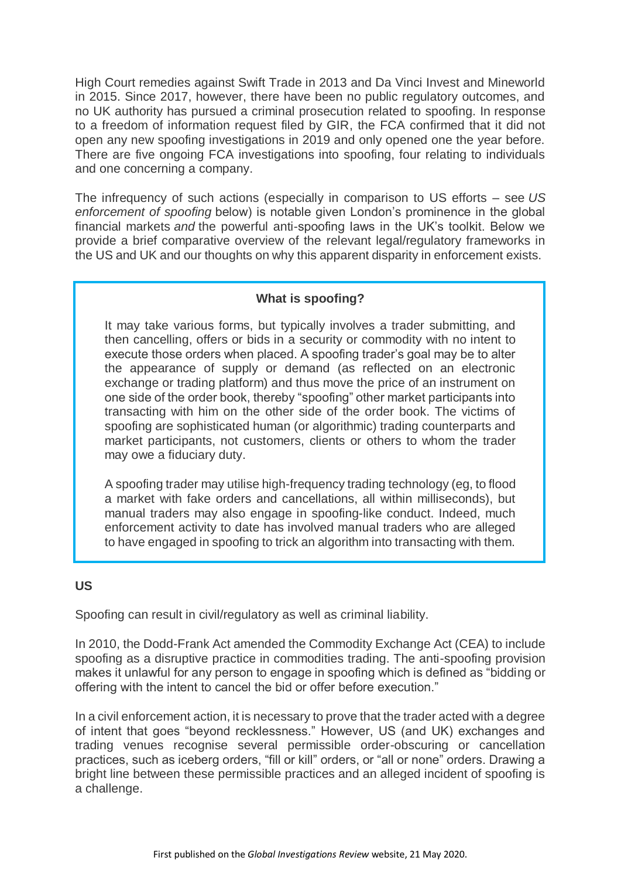High Court remedies against Swift Trade in 2013 and Da Vinci Invest and Mineworld in 2015. Since 2017, however, there have been no public regulatory outcomes, and no UK authority has pursued a criminal prosecution related to spoofing. In response to a freedom of information request filed by GIR, the FCA confirmed that it did not open any new spoofing investigations in 2019 and only opened one the year before. There are five ongoing FCA investigations into spoofing, four relating to individuals and one concerning a company.

The infrequency of such actions (especially in comparison to US efforts – see *US enforcement of spoofing* below) is notable given London's prominence in the global financial markets *and* the powerful anti-spoofing laws in the UK's toolkit. Below we provide a brief comparative overview of the relevant legal/regulatory frameworks in the US and UK and our thoughts on why this apparent disparity in enforcement exists.

### **What is spoofing?**

It may take various forms, but typically involves a trader submitting, and then cancelling, offers or bids in a security or commodity with no intent to execute those orders when placed. A spoofing trader's goal may be to alter the appearance of supply or demand (as reflected on an electronic exchange or trading platform) and thus move the price of an instrument on one side of the order book, thereby "spoofing" other market participants into transacting with him on the other side of the order book. The victims of spoofing are sophisticated human (or algorithmic) trading counterparts and market participants, not customers, clients or others to whom the trader may owe a fiduciary duty.

A spoofing trader may utilise high-frequency trading technology (eg, to flood a market with fake orders and cancellations, all within milliseconds), but manual traders may also engage in spoofing-like conduct. Indeed, much enforcement activity to date has involved manual traders who are alleged to have engaged in spoofing to trick an algorithm into transacting with them.

### **US**

Spoofing can result in civil/regulatory as well as criminal liability.

In 2010, the Dodd-Frank Act amended the Commodity Exchange Act (CEA) to include spoofing as a disruptive practice in commodities trading. The anti-spoofing provision makes it unlawful for any person to engage in spoofing which is defined as "bidding or offering with the intent to cancel the bid or offer before execution."

In a civil enforcement action, it is necessary to prove that the trader acted with a degree of intent that goes "beyond recklessness." However, US (and UK) exchanges and trading venues recognise several permissible order-obscuring or cancellation practices, such as iceberg orders, "fill or kill" orders, or "all or none" orders. Drawing a bright line between these permissible practices and an alleged incident of spoofing is a challenge.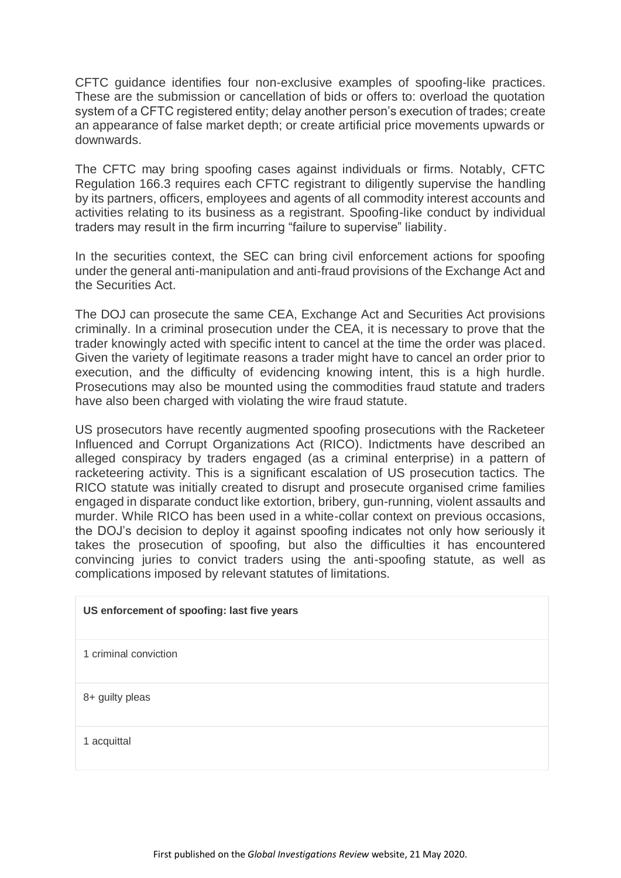CFTC guidance identifies four non-exclusive examples of spoofing-like practices. These are the submission or cancellation of bids or offers to: overload the quotation system of a CFTC registered entity; delay another person's execution of trades; create an appearance of false market depth; or create artificial price movements upwards or downwards.

The CFTC may bring spoofing cases against individuals or firms. Notably, CFTC Regulation 166.3 requires each CFTC registrant to diligently supervise the handling by its partners, officers, employees and agents of all commodity interest accounts and activities relating to its business as a registrant. Spoofing-like conduct by individual traders may result in the firm incurring "failure to supervise" liability.

In the securities context, the SEC can bring civil enforcement actions for spoofing under the general anti-manipulation and anti-fraud provisions of the Exchange Act and the Securities Act.

The DOJ can prosecute the same CEA, Exchange Act and Securities Act provisions criminally. In a criminal prosecution under the CEA, it is necessary to prove that the trader knowingly acted with specific intent to cancel at the time the order was placed. Given the variety of legitimate reasons a trader might have to cancel an order prior to execution, and the difficulty of evidencing knowing intent, this is a high hurdle. Prosecutions may also be mounted using the commodities fraud statute and traders have also been charged with violating the wire fraud statute.

US prosecutors have recently augmented spoofing prosecutions with the Racketeer Influenced and Corrupt Organizations Act (RICO). Indictments have described an alleged conspiracy by traders engaged (as a criminal enterprise) in a pattern of racketeering activity. This is a significant escalation of US prosecution tactics. The RICO statute was initially created to disrupt and prosecute organised crime families engaged in disparate conduct like extortion, bribery, gun-running, violent assaults and murder. While RICO has been used in a white-collar context on previous occasions, the DOJ's decision to deploy it against spoofing indicates not only how seriously it takes the prosecution of spoofing, but also the difficulties it has encountered convincing juries to convict traders using the anti-spoofing statute, as well as complications imposed by relevant statutes of limitations.

# **US enforcement of spoofing: last five years** 1 criminal conviction 8+ guilty pleas 1 acquittal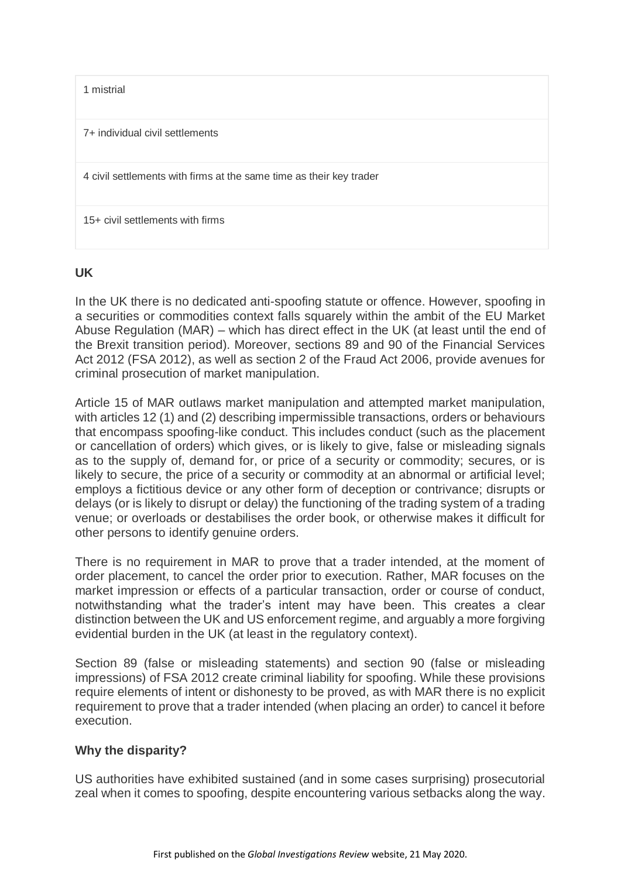1 mistrial

7+ individual civil settlements

4 civil settlements with firms at the same time as their key trader

15+ civil settlements with firms

#### **UK**

In the UK there is no dedicated anti-spoofing statute or offence. However, spoofing in a securities or commodities context falls squarely within the ambit of the EU Market Abuse Regulation (MAR) – which has direct effect in the UK (at least until the end of the Brexit transition period). Moreover, sections 89 and 90 of the Financial Services Act 2012 (FSA 2012), as well as section 2 of the Fraud Act 2006, provide avenues for criminal prosecution of market manipulation.

Article 15 of MAR outlaws market manipulation and attempted market manipulation, with articles 12 (1) and (2) describing impermissible transactions, orders or behaviours that encompass spoofing-like conduct. This includes conduct (such as the placement or cancellation of orders) which gives, or is likely to give, false or misleading signals as to the supply of, demand for, or price of a security or commodity; secures, or is likely to secure, the price of a security or commodity at an abnormal or artificial level; employs a fictitious device or any other form of deception or contrivance; disrupts or delays (or is likely to disrupt or delay) the functioning of the trading system of a trading venue; or overloads or destabilises the order book, or otherwise makes it difficult for other persons to identify genuine orders.

There is no requirement in MAR to prove that a trader intended, at the moment of order placement, to cancel the order prior to execution. Rather, MAR focuses on the market impression or effects of a particular transaction, order or course of conduct, notwithstanding what the trader's intent may have been. This creates a clear distinction between the UK and US enforcement regime, and arguably a more forgiving evidential burden in the UK (at least in the regulatory context).

Section 89 (false or misleading statements) and section 90 (false or misleading impressions) of FSA 2012 create criminal liability for spoofing. While these provisions require elements of intent or dishonesty to be proved, as with MAR there is no explicit requirement to prove that a trader intended (when placing an order) to cancel it before execution.

### **Why the disparity?**

US authorities have exhibited sustained (and in some cases surprising) prosecutorial zeal when it comes to spoofing, despite encountering various setbacks along the way.